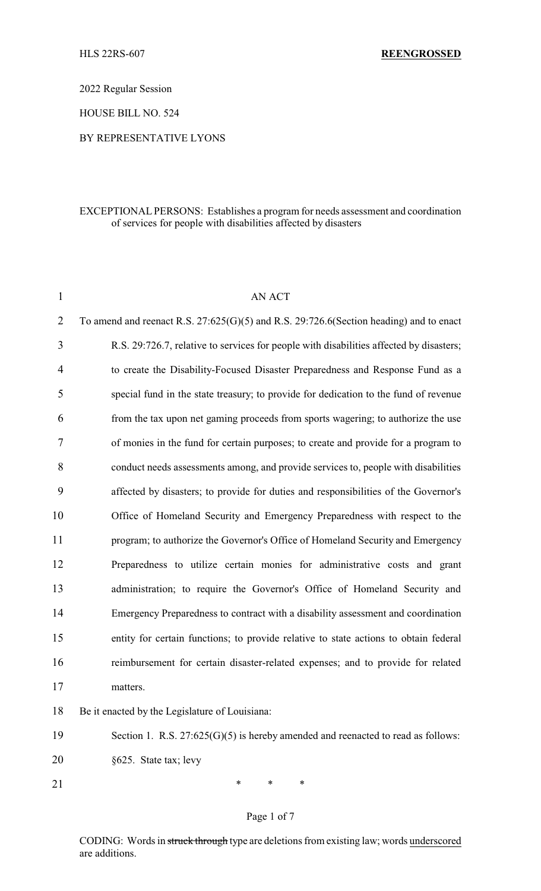2022 Regular Session

HOUSE BILL NO. 524

## BY REPRESENTATIVE LYONS

#### EXCEPTIONAL PERSONS: Establishes a program for needs assessment and coordination of services for people with disabilities affected by disasters

| $\mathbf{1}$   | <b>AN ACT</b>                                                                               |
|----------------|---------------------------------------------------------------------------------------------|
| $\overline{2}$ | To amend and reenact R.S. $27:625(G)(5)$ and R.S. $29:726.6$ (Section heading) and to enact |
| $\overline{3}$ | R.S. 29:726.7, relative to services for people with disabilities affected by disasters;     |
| $\overline{4}$ | to create the Disability-Focused Disaster Preparedness and Response Fund as a               |
| 5              | special fund in the state treasury; to provide for dedication to the fund of revenue        |
| 6              | from the tax upon net gaming proceeds from sports wagering; to authorize the use            |
| $\overline{7}$ | of monies in the fund for certain purposes; to create and provide for a program to          |
| 8              | conduct needs assessments among, and provide services to, people with disabilities          |
| 9              | affected by disasters; to provide for duties and responsibilities of the Governor's         |
| 10             | Office of Homeland Security and Emergency Preparedness with respect to the                  |
| 11             | program; to authorize the Governor's Office of Homeland Security and Emergency              |
| 12             | Preparedness to utilize certain monies for administrative costs and grant                   |
| 13             | administration; to require the Governor's Office of Homeland Security and                   |
| 14             | Emergency Preparedness to contract with a disability assessment and coordination            |
| 15             | entity for certain functions; to provide relative to state actions to obtain federal        |
| 16             | reimbursement for certain disaster-related expenses; and to provide for related             |
| 17             | matters.                                                                                    |
| 18             | Be it enacted by the Legislature of Louisiana:                                              |
| 19             | Section 1. R.S. $27:625(G)(5)$ is hereby amended and reenacted to read as follows:          |

20 §625. State tax; levy

21 \* \* \* \*

# Page 1 of 7

CODING: Words in struck through type are deletions from existing law; words underscored are additions.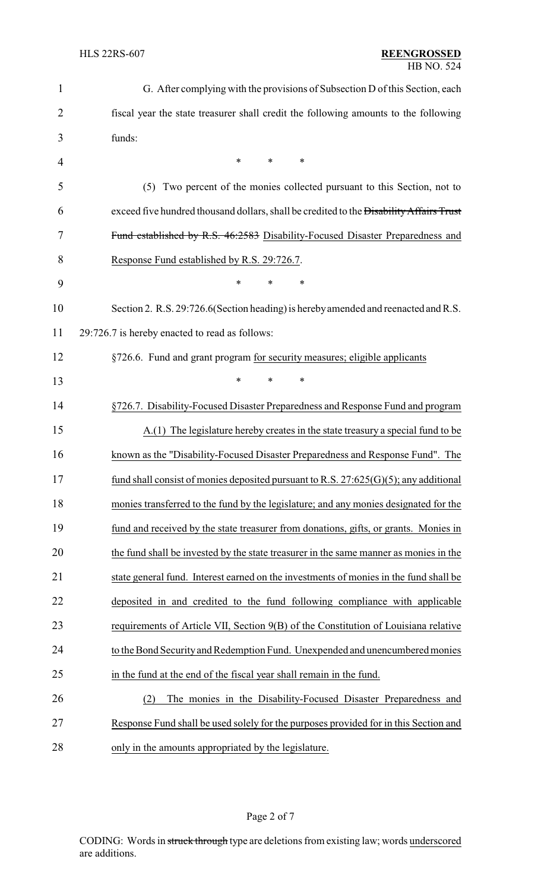| 1  | G. After complying with the provisions of Subsection D of this Section, each            |  |  |
|----|-----------------------------------------------------------------------------------------|--|--|
| 2  | fiscal year the state treasurer shall credit the following amounts to the following     |  |  |
| 3  | funds:                                                                                  |  |  |
| 4  | *<br>$\ast$<br>*                                                                        |  |  |
| 5  | Two percent of the monies collected pursuant to this Section, not to<br>(5)             |  |  |
| 6  | exceed five hundred thousand dollars, shall be credited to the Disability Affairs Trust |  |  |
| 7  | Fund established by R.S. 46:2583 Disability-Focused Disaster Preparedness and           |  |  |
| 8  | Response Fund established by R.S. 29:726.7.                                             |  |  |
| 9  | *<br>$\ast$<br>∗                                                                        |  |  |
| 10 | Section 2. R.S. 29:726.6 (Section heading) is hereby amended and reenacted and R.S.     |  |  |
| 11 | 29:726.7 is hereby enacted to read as follows:                                          |  |  |
| 12 | §726.6. Fund and grant program for security measures; eligible applicants               |  |  |
| 13 | *<br>*<br>*                                                                             |  |  |
| 14 | §726.7. Disability-Focused Disaster Preparedness and Response Fund and program          |  |  |
| 15 | A.(1) The legislature hereby creates in the state treasury a special fund to be         |  |  |
| 16 | known as the "Disability-Focused Disaster Preparedness and Response Fund". The          |  |  |
| 17 | fund shall consist of monies deposited pursuant to R.S. $27:625(G)(5)$ ; any additional |  |  |
| 18 | monies transferred to the fund by the legislature; and any monies designated for the    |  |  |
| 19 | fund and received by the state treasurer from donations, gifts, or grants. Monies in    |  |  |
| 20 | the fund shall be invested by the state treasurer in the same manner as monies in the   |  |  |
| 21 | state general fund. Interest earned on the investments of monies in the fund shall be   |  |  |
| 22 | deposited in and credited to the fund following compliance with applicable              |  |  |
| 23 | requirements of Article VII, Section 9(B) of the Constitution of Louisiana relative     |  |  |
| 24 | to the Bond Security and Redemption Fund. Unexpended and unencumbered monies            |  |  |
| 25 | in the fund at the end of the fiscal year shall remain in the fund.                     |  |  |
| 26 | The monies in the Disability-Focused Disaster Preparedness and<br>(2)                   |  |  |
| 27 | Response Fund shall be used solely for the purposes provided for in this Section and    |  |  |
| 28 | only in the amounts appropriated by the legislature.                                    |  |  |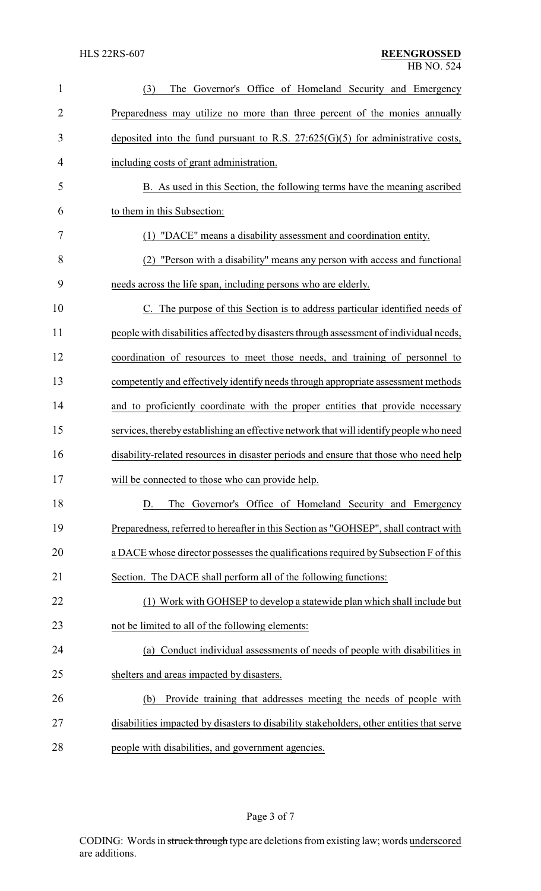| 1              | The Governor's Office of Homeland Security and Emergency<br>(3)                          |
|----------------|------------------------------------------------------------------------------------------|
| $\overline{2}$ | Preparedness may utilize no more than three percent of the monies annually               |
| 3              | deposited into the fund pursuant to R.S. $27:625(G)(5)$ for administrative costs,        |
| 4              | including costs of grant administration.                                                 |
| 5              | B. As used in this Section, the following terms have the meaning ascribed                |
| 6              | to them in this Subsection:                                                              |
| 7              | "DACE" means a disability assessment and coordination entity.<br>(1)                     |
| 8              | (2) "Person with a disability" means any person with access and functional               |
| 9              | needs across the life span, including persons who are elderly.                           |
| 10             | C. The purpose of this Section is to address particular identified needs of              |
| 11             | people with disabilities affected by disasters through assessment of individual needs,   |
| 12             | coordination of resources to meet those needs, and training of personnel to              |
| 13             | competently and effectively identify needs through appropriate assessment methods        |
| 14             | and to proficiently coordinate with the proper entities that provide necessary           |
| 15             | services, thereby establishing an effective network that will identify people who need   |
| 16             | disability-related resources in disaster periods and ensure that those who need help     |
| 17             | will be connected to those who can provide help.                                         |
| 18             | The Governor's Office of Homeland Security and Emergency<br>D.                           |
| 19             | Preparedness, referred to hereafter in this Section as "GOHSEP", shall contract with     |
| 20             | a DACE whose director possesses the qualifications required by Subsection F of this      |
| 21             | Section. The DACE shall perform all of the following functions:                          |
| 22             | (1) Work with GOHSEP to develop a statewide plan which shall include but                 |
| 23             | not be limited to all of the following elements:                                         |
| 24             | (a) Conduct individual assessments of needs of people with disabilities in               |
| 25             | shelters and areas impacted by disasters.                                                |
| 26             | Provide training that addresses meeting the needs of people with<br>(b)                  |
| 27             | disabilities impacted by disasters to disability stakeholders, other entities that serve |
| 28             | people with disabilities, and government agencies.                                       |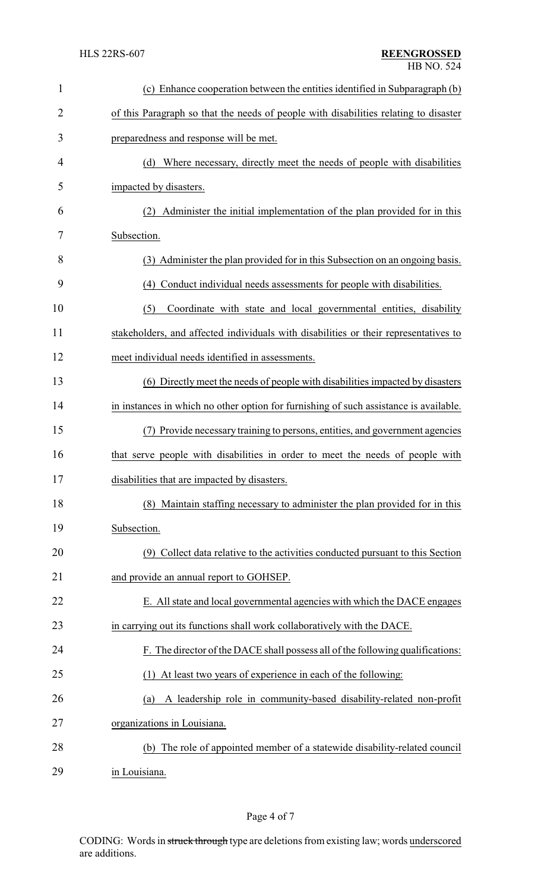| 1              | (c) Enhance cooperation between the entities identified in Subparagraph (b)           |  |  |
|----------------|---------------------------------------------------------------------------------------|--|--|
| $\overline{2}$ | of this Paragraph so that the needs of people with disabilities relating to disaster  |  |  |
| 3              | preparedness and response will be met.                                                |  |  |
| 4              | (d) Where necessary, directly meet the needs of people with disabilities              |  |  |
| 5              | impacted by disasters.                                                                |  |  |
| 6              | Administer the initial implementation of the plan provided for in this<br>(2)         |  |  |
| 7              | Subsection.                                                                           |  |  |
| 8              | (3) Administer the plan provided for in this Subsection on an ongoing basis.          |  |  |
| 9              | (4) Conduct individual needs assessments for people with disabilities.                |  |  |
| 10             | (5)<br>Coordinate with state and local governmental entities, disability              |  |  |
| 11             | stakeholders, and affected individuals with disabilities or their representatives to  |  |  |
| 12             | meet individual needs identified in assessments.                                      |  |  |
| 13             | (6) Directly meet the needs of people with disabilities impacted by disasters         |  |  |
| 14             | in instances in which no other option for furnishing of such assistance is available. |  |  |
| 15             | (7) Provide necessary training to persons, entities, and government agencies          |  |  |
| 16             | that serve people with disabilities in order to meet the needs of people with         |  |  |
| 17             | disabilities that are impacted by disasters.                                          |  |  |
| 18             | (8) Maintain staffing necessary to administer the plan provided for in this           |  |  |
| 19             | Subsection.                                                                           |  |  |
| 20             | (9) Collect data relative to the activities conducted pursuant to this Section        |  |  |
| 21             | and provide an annual report to GOHSEP.                                               |  |  |
| 22             | E. All state and local governmental agencies with which the DACE engages              |  |  |
| 23             | in carrying out its functions shall work collaboratively with the DACE.               |  |  |
| 24             | F. The director of the DACE shall possess all of the following qualifications:        |  |  |
| 25             | At least two years of experience in each of the following:<br>(1)                     |  |  |
| 26             | A leadership role in community-based disability-related non-profit<br>(a)             |  |  |
| 27             | organizations in Louisiana.                                                           |  |  |
| 28             | (b) The role of appointed member of a statewide disability-related council            |  |  |
| 29             | in Louisiana.                                                                         |  |  |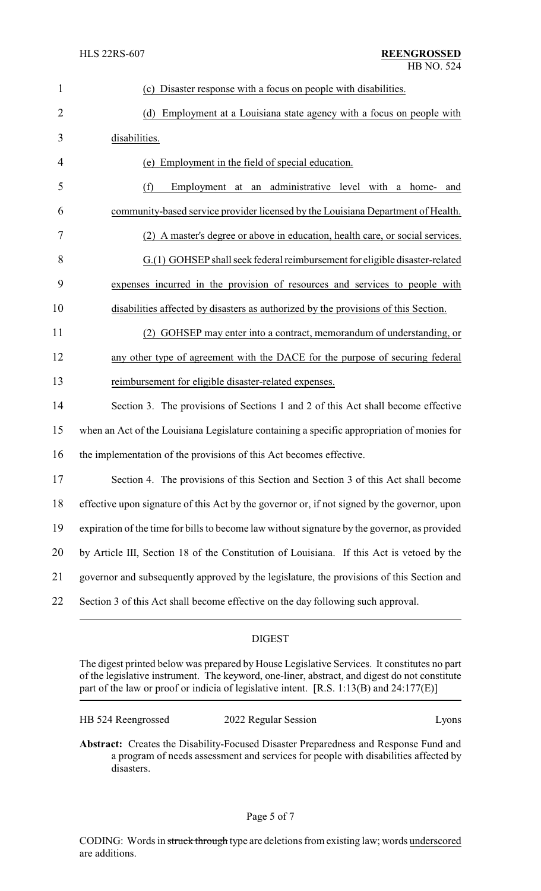| $\mathbf{1}$   | (c) Disaster response with a focus on people with disabilities.                               |  |  |
|----------------|-----------------------------------------------------------------------------------------------|--|--|
| $\overline{2}$ | Employment at a Louisiana state agency with a focus on people with<br>(d)                     |  |  |
| 3              | disabilities.                                                                                 |  |  |
| 4              | (e) Employment in the field of special education.                                             |  |  |
| 5              | Employment at an administrative level with<br>(f)<br>a home-<br>and                           |  |  |
| 6              | community-based service provider licensed by the Louisiana Department of Health.              |  |  |
| 7              | (2) A master's degree or above in education, health care, or social services.                 |  |  |
| 8              | $G(1)$ GOHSEP shall seek federal reimbursement for eligible disaster-related                  |  |  |
| 9              | expenses incurred in the provision of resources and services to people with                   |  |  |
| 10             | disabilities affected by disasters as authorized by the provisions of this Section.           |  |  |
| 11             | GOHSEP may enter into a contract, memorandum of understanding, or                             |  |  |
| 12             | any other type of agreement with the DACE for the purpose of securing federal                 |  |  |
| 13             | reimbursement for eligible disaster-related expenses.                                         |  |  |
| 14             | Section 3. The provisions of Sections 1 and 2 of this Act shall become effective              |  |  |
| 15             | when an Act of the Louisiana Legislature containing a specific appropriation of monies for    |  |  |
| 16             | the implementation of the provisions of this Act becomes effective.                           |  |  |
| 17             | Section 4. The provisions of this Section and Section 3 of this Act shall become              |  |  |
| 18             | effective upon signature of this Act by the governor or, if not signed by the governor, upon  |  |  |
| 19             | expiration of the time for bills to become law without signature by the governor, as provided |  |  |
| 20             | by Article III, Section 18 of the Constitution of Louisiana. If this Act is vetoed by the     |  |  |
| 21             | governor and subsequently approved by the legislature, the provisions of this Section and     |  |  |
| 22             | Section 3 of this Act shall become effective on the day following such approval.              |  |  |

# DIGEST

The digest printed below was prepared by House Legislative Services. It constitutes no part of the legislative instrument. The keyword, one-liner, abstract, and digest do not constitute part of the law or proof or indicia of legislative intent. [R.S. 1:13(B) and 24:177(E)]

| HB 524 Reengrossed | 2022 Regular Session | Lyons |
|--------------------|----------------------|-------|
|--------------------|----------------------|-------|

**Abstract:** Creates the Disability-Focused Disaster Preparedness and Response Fund and a program of needs assessment and services for people with disabilities affected by disasters.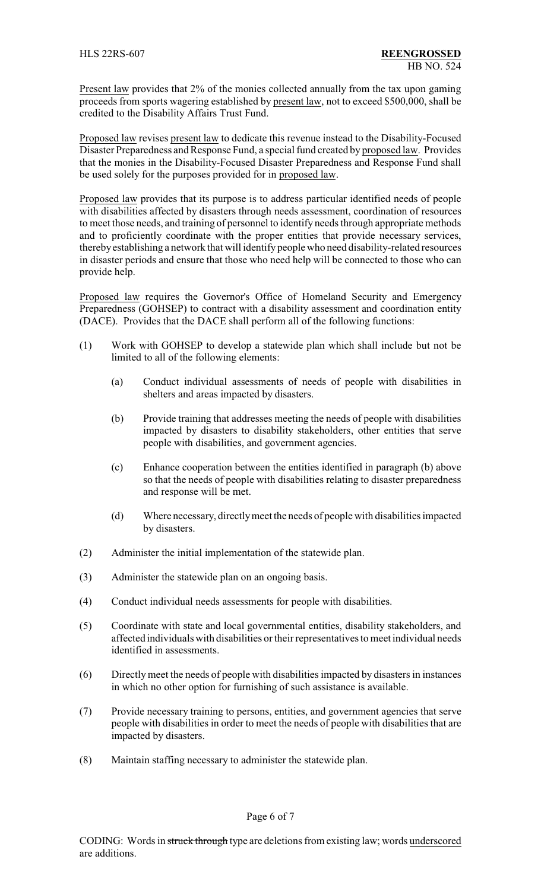Present law provides that 2% of the monies collected annually from the tax upon gaming proceeds from sports wagering established by present law, not to exceed \$500,000, shall be credited to the Disability Affairs Trust Fund.

Proposed law revises present law to dedicate this revenue instead to the Disability-Focused Disaster Preparedness and Response Fund, a special fund created by proposed law. Provides that the monies in the Disability-Focused Disaster Preparedness and Response Fund shall be used solely for the purposes provided for in proposed law.

Proposed law provides that its purpose is to address particular identified needs of people with disabilities affected by disasters through needs assessment, coordination of resources to meet those needs, and training of personnel to identify needs through appropriate methods and to proficiently coordinate with the proper entities that provide necessary services, therebyestablishing a network that will identifypeople who need disability-related resources in disaster periods and ensure that those who need help will be connected to those who can provide help.

Proposed law requires the Governor's Office of Homeland Security and Emergency Preparedness (GOHSEP) to contract with a disability assessment and coordination entity (DACE). Provides that the DACE shall perform all of the following functions:

- (1) Work with GOHSEP to develop a statewide plan which shall include but not be limited to all of the following elements:
	- (a) Conduct individual assessments of needs of people with disabilities in shelters and areas impacted by disasters.
	- (b) Provide training that addresses meeting the needs of people with disabilities impacted by disasters to disability stakeholders, other entities that serve people with disabilities, and government agencies.
	- (c) Enhance cooperation between the entities identified in paragraph (b) above so that the needs of people with disabilities relating to disaster preparedness and response will be met.
	- (d) Where necessary, directlymeet the needs of people with disabilities impacted by disasters.
- (2) Administer the initial implementation of the statewide plan.
- (3) Administer the statewide plan on an ongoing basis.
- (4) Conduct individual needs assessments for people with disabilities.
- (5) Coordinate with state and local governmental entities, disability stakeholders, and affected individuals with disabilities or their representatives to meet individual needs identified in assessments.
- (6) Directlymeet the needs of people with disabilities impacted by disasters in instances in which no other option for furnishing of such assistance is available.
- (7) Provide necessary training to persons, entities, and government agencies that serve people with disabilities in order to meet the needs of people with disabilities that are impacted by disasters.
- (8) Maintain staffing necessary to administer the statewide plan.